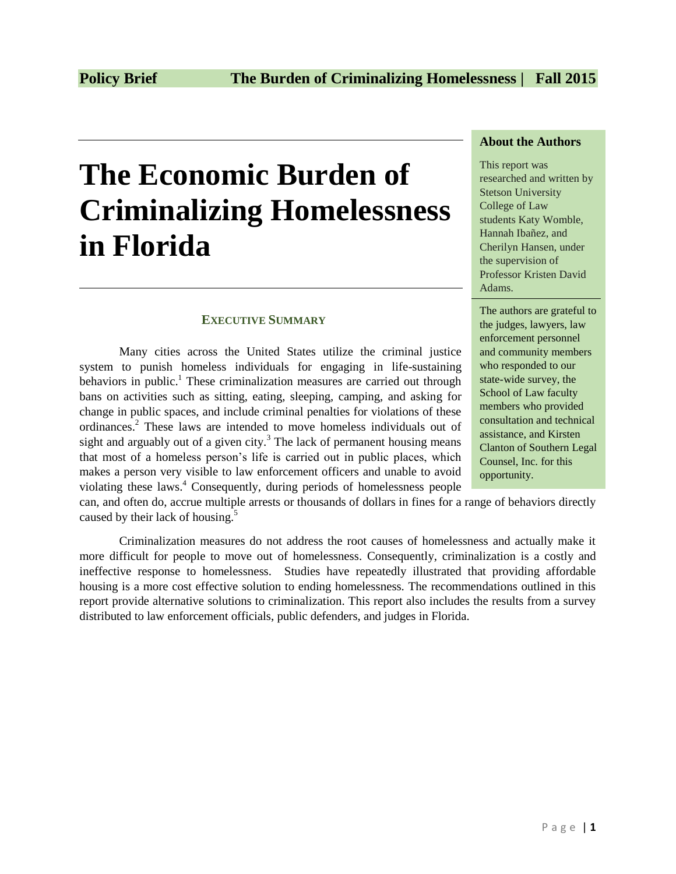# **The Economic Burden of Criminalizing Homelessness in Florida**

## **EXECUTIVE SUMMARY**

Many cities across the United States utilize the criminal justice system to punish homeless individuals for engaging in life-sustaining behaviors in public.<sup>1</sup> These criminalization measures are carried out through bans on activities such as sitting, eating, sleeping, camping, and asking for change in public spaces, and include criminal penalties for violations of these ordinances.<sup>2</sup> These laws are intended to move homeless individuals out of sight and arguably out of a given city.<sup>3</sup> The lack of permanent housing means that most of a homeless person's life is carried out in public places, which makes a person very visible to law enforcement officers and unable to avoid violating these laws.<sup>4</sup> Consequently, during periods of homelessness people

### **About the Authors**

This report was researched and written by Stetson University College of Law students Katy Womble, Hannah Ibañez, and Cherilyn Hansen, under the supervision of Professor Kristen David Adams.

The authors are grateful to the judges, lawyers, law enforcement personnel and community members who responded to our state-wide survey, the School of Law faculty members who provided consultation and technical assistance, and Kirsten Clanton of Southern Legal Counsel, Inc. for this opportunity.

can, and often do, accrue multiple arrests or thousands of dollars in fines for a range of behaviors directly caused by their lack of housing.<sup>5</sup>

Criminalization measures do not address the root causes of homelessness and actually make it more difficult for people to move out of homelessness. Consequently, criminalization is a costly and ineffective response to homelessness. Studies have repeatedly illustrated that providing affordable housing is a more cost effective solution to ending homelessness. The recommendations outlined in this report provide alternative solutions to criminalization. This report also includes the results from a survey distributed to law enforcement officials, public defenders, and judges in Florida.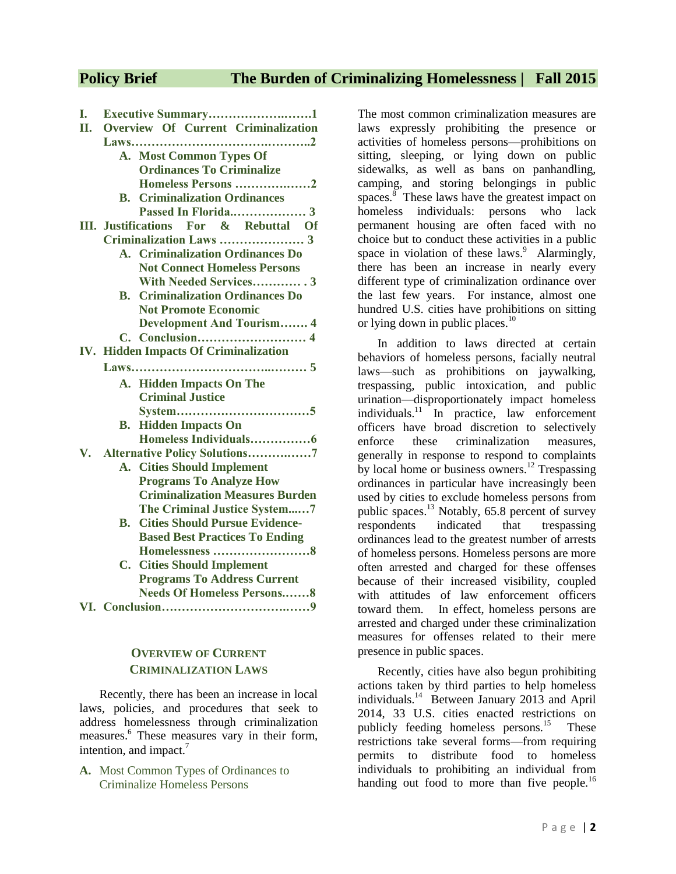**I. Executive Summary……………….…….1**

# **Policy Brief The Burden of Criminalizing Homelessness | Fall 2015**

| L.  | $\Gamma$ Executive Summary                     |
|-----|------------------------------------------------|
| П.  | Overview Of Current Criminalization            |
|     |                                                |
|     | A. Most Common Types Of                        |
|     | <b>Ordinances To Criminalize</b>               |
|     | Homeless Persons 2                             |
|     | <b>Criminalization Ordinances</b><br><b>B.</b> |
|     |                                                |
|     | III. Justifications For & Rebuttal Of          |
|     | Criminalization Laws  3                        |
|     | A. Criminalization Ordinances Do               |
|     | <b>Not Connect Homeless Persons</b>            |
|     | With Needed Services 3                         |
|     | <b>B.</b> Criminalization Ordinances Do        |
|     | <b>Not Promote Economic</b>                    |
|     | <b>Development And Tourism 4</b>               |
|     | C. Conclusion 4                                |
| IV. | <b>Hidden Impacts Of Criminalization</b>       |
|     |                                                |
|     | A. Hidden Impacts On The                       |
|     | <b>Criminal Justice</b>                        |
|     |                                                |
|     | <b>Hidden Impacts On</b><br>В.                 |
|     |                                                |
|     | V. Alternative Policy Solutions7               |
|     | A. Cities Should Implement                     |
|     | <b>Programs To Analyze How</b>                 |
|     | <b>Criminalization Measures Burden</b>         |
|     | The Criminal Justice System7                   |
|     | <b>Cities Should Pursue Evidence-</b><br>В.    |
|     | <b>Based Best Practices To Ending</b>          |
|     | Homelessness 8                                 |
|     | <b>Cities Should Implement</b><br>C.           |
|     | <b>Programs To Address Current</b>             |
|     | <b>Needs Of Homeless Persons8</b>              |
|     |                                                |
|     |                                                |

# **OVERVIEW OF CURRENT CRIMINALIZATION LAWS**

Recently, there has been an increase in local laws, policies, and procedures that seek to address homelessness through criminalization measures.<sup>6</sup> These measures vary in their form, intention, and impact.<sup>7</sup>

**A.** Most Common Types of Ordinances to Criminalize Homeless Persons

The most common criminalization measures are laws expressly prohibiting the presence or activities of homeless persons—prohibitions on sitting, sleeping, or lying down on public sidewalks, as well as bans on panhandling, camping, and storing belongings in public spaces. $\frac{8}{5}$  These laws have the greatest impact on homeless individuals: persons who lack permanent housing are often faced with no choice but to conduct these activities in a public space in violation of these laws. $9$  Alarmingly, there has been an increase in nearly every different type of criminalization ordinance over the last few years. For instance, almost one hundred U.S. cities have prohibitions on sitting or lying down in public places. $10<sup>10</sup>$ 

In addition to laws directed at certain behaviors of homeless persons, facially neutral laws—such as prohibitions on jaywalking, trespassing, public intoxication, and public urination—disproportionately impact homeless individuals. $\frac{11}{10}$  in practice, law enforcement officers have broad discretion to selectively enforce these criminalization measures, generally in response to respond to complaints by local home or business owners.<sup>12</sup> Trespassing ordinances in particular have increasingly been used by cities to exclude homeless persons from public spaces.<sup>13</sup> Notably, 65.8 percent of survey respondents indicated that trespassing ordinances lead to the greatest number of arrests of homeless persons. Homeless persons are more often arrested and charged for these offenses because of their increased visibility, coupled with attitudes of law enforcement officers toward them. In effect, homeless persons are arrested and charged under these criminalization measures for offenses related to their mere presence in public spaces.

Recently, cities have also begun prohibiting actions taken by third parties to help homeless individuals.<sup>14</sup> Between January 2013 and April 2014, 33 U.S. cities enacted restrictions on publicly feeding homeless persons.<sup>15</sup> These restrictions take several forms—from requiring permits to distribute food to homeless individuals to prohibiting an individual from handing out food to more than five people.<sup>16</sup>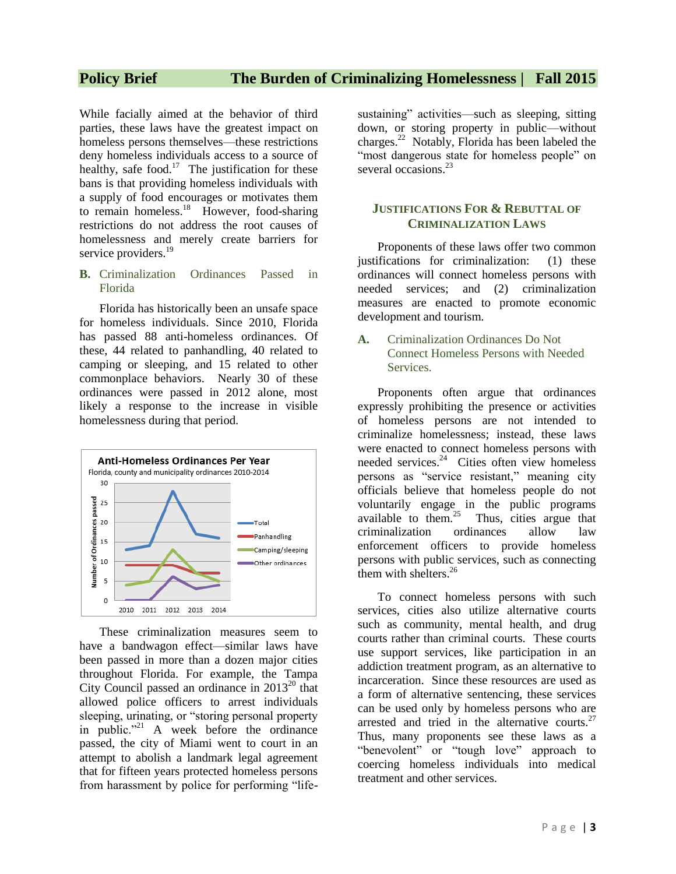# **Policy Brief The Burden of Criminalizing Homelessness | Fall 2015**

While facially aimed at the behavior of third parties, these laws have the greatest impact on homeless persons themselves—these restrictions deny homeless individuals access to a source of healthy, safe food.<sup>17</sup> The justification for these bans is that providing homeless individuals with a supply of food encourages or motivates them to remain homeless. $18$  However, food-sharing restrictions do not address the root causes of homelessness and merely create barriers for service providers.<sup>19</sup>

**B.** Criminalization Ordinances Passed in Florida

Florida has historically been an unsafe space for homeless individuals. Since 2010, Florida has passed 88 anti-homeless ordinances. Of these, 44 related to panhandling, 40 related to camping or sleeping, and 15 related to other commonplace behaviors. Nearly 30 of these ordinances were passed in 2012 alone, most likely a response to the increase in visible homelessness during that period.



These criminalization measures seem to have a bandwagon effect—similar laws have been passed in more than a dozen major cities throughout Florida. For example, the Tampa City Council passed an ordinance in  $2013^{20}$  that allowed police officers to arrest individuals sleeping, urinating, or "storing personal property in public."<sup>21</sup> A week before the ordinance passed, the city of Miami went to court in an attempt to abolish a landmark legal agreement that for fifteen years protected homeless persons from harassment by police for performing "lifesustaining" activities—such as sleeping, sitting down, or storing property in public—without charges.<sup>22</sup> Notably, Florida has been labeled the "most dangerous state for homeless people" on several occasions.<sup>23</sup>

### **JUSTIFICATIONS FOR & REBUTTAL OF CRIMINALIZATION LAWS**

Proponents of these laws offer two common justifications for criminalization: (1) these ordinances will connect homeless persons with needed services; and (2) criminalization measures are enacted to promote economic development and tourism.

**A.** Criminalization Ordinances Do Not Connect Homeless Persons with Needed Services.

Proponents often argue that ordinances expressly prohibiting the presence or activities of homeless persons are not intended to criminalize homelessness; instead, these laws were enacted to connect homeless persons with needed services.<sup>24</sup> Cities often view homeless persons as "service resistant," meaning city officials believe that homeless people do not voluntarily engage in the public programs available to them. $25$  Thus, cities argue that criminalization ordinances allow law enforcement officers to provide homeless persons with public services, such as connecting them with shelters.<sup>26</sup>

To connect homeless persons with such services, cities also utilize alternative courts such as community, mental health, and drug courts rather than criminal courts. These courts use support services, like participation in an addiction treatment program, as an alternative to incarceration. Since these resources are used as a form of alternative sentencing, these services can be used only by homeless persons who are arrested and tried in the alternative courts. $27$ Thus, many proponents see these laws as a "benevolent" or "tough love" approach to coercing homeless individuals into medical treatment and other services.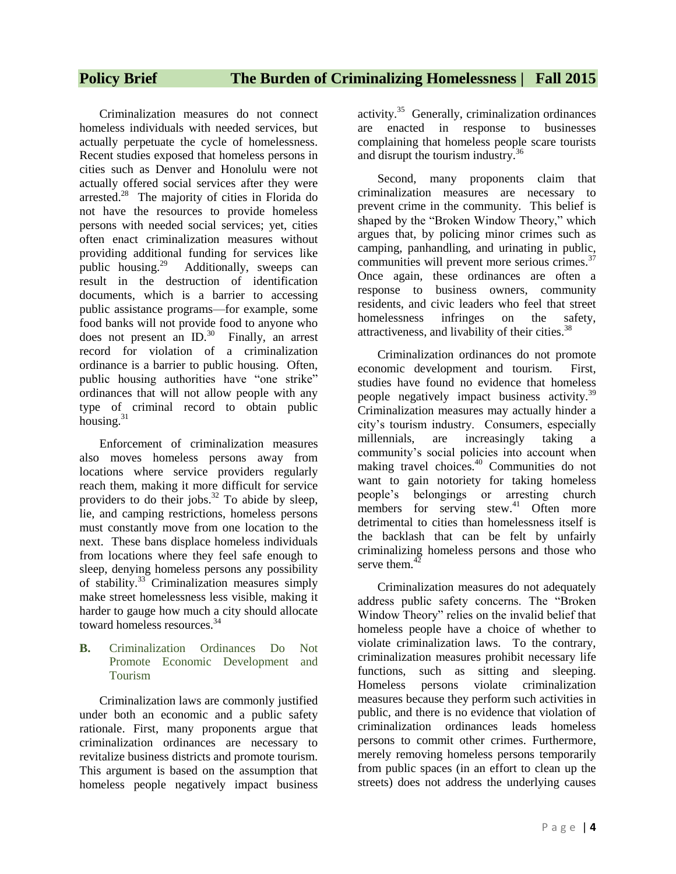Criminalization measures do not connect homeless individuals with needed services, but actually perpetuate the cycle of homelessness. Recent studies exposed that homeless persons in cities such as Denver and Honolulu were not actually offered social services after they were arrested.<sup>28</sup> The majority of cities in Florida do not have the resources to provide homeless persons with needed social services; yet, cities often enact criminalization measures without providing additional funding for services like public housing. $^{29}$  Additionally, sweeps can result in the destruction of identification documents, which is a barrier to accessing public assistance programs—for example, some food banks will not provide food to anyone who does not present an  $ID.^{30}$  Finally, an arrest record for violation of a criminalization ordinance is a barrier to public housing. Often, public housing authorities have "one strike" ordinances that will not allow people with any type of criminal record to obtain public housing.<sup>31</sup>

Enforcement of criminalization measures also moves homeless persons away from locations where service providers regularly reach them, making it more difficult for service providers to do their jobs. $32$  To abide by sleep, lie, and camping restrictions, homeless persons must constantly move from one location to the next. These bans displace homeless individuals from locations where they feel safe enough to sleep, denying homeless persons any possibility of stability.<sup>33</sup> Criminalization measures simply make street homelessness less visible, making it harder to gauge how much a city should allocate toward homeless resources.<sup>34</sup>

### **B.** Criminalization Ordinances Do Not Promote Economic Development and Tourism

Criminalization laws are commonly justified under both an economic and a public safety rationale. First, many proponents argue that criminalization ordinances are necessary to revitalize business districts and promote tourism. This argument is based on the assumption that homeless people negatively impact business

activity.<sup>35</sup> Generally, criminalization ordinances are enacted in response to businesses complaining that homeless people scare tourists and disrupt the tourism industry.<sup>36</sup>

Second, many proponents claim that criminalization measures are necessary to prevent crime in the community. This belief is shaped by the "Broken Window Theory," which argues that, by policing minor crimes such as camping, panhandling, and urinating in public, communities will prevent more serious crimes.<sup>37</sup> Once again, these ordinances are often a response to business owners, community residents, and civic leaders who feel that street homelessness infringes on the safety, attractiveness, and livability of their cities.<sup>38</sup>

Criminalization ordinances do not promote economic development and tourism. First, studies have found no evidence that homeless people negatively impact business activity.<sup>39</sup> Criminalization measures may actually hinder a city's tourism industry. Consumers, especially millennials, are increasingly taking a community's social policies into account when making travel choices.<sup>40</sup> Communities do not want to gain notoriety for taking homeless people's belongings or arresting church members for serving stew.<sup>41</sup> Often more detrimental to cities than homelessness itself is the backlash that can be felt by unfairly criminalizing homeless persons and those who serve them  $42$ 

Criminalization measures do not adequately address public safety concerns. The "Broken Window Theory" relies on the invalid belief that homeless people have a choice of whether to violate criminalization laws. To the contrary, criminalization measures prohibit necessary life functions, such as sitting and sleeping. Homeless persons violate criminalization measures because they perform such activities in public, and there is no evidence that violation of criminalization ordinances leads homeless persons to commit other crimes. Furthermore, merely removing homeless persons temporarily from public spaces (in an effort to clean up the streets) does not address the underlying causes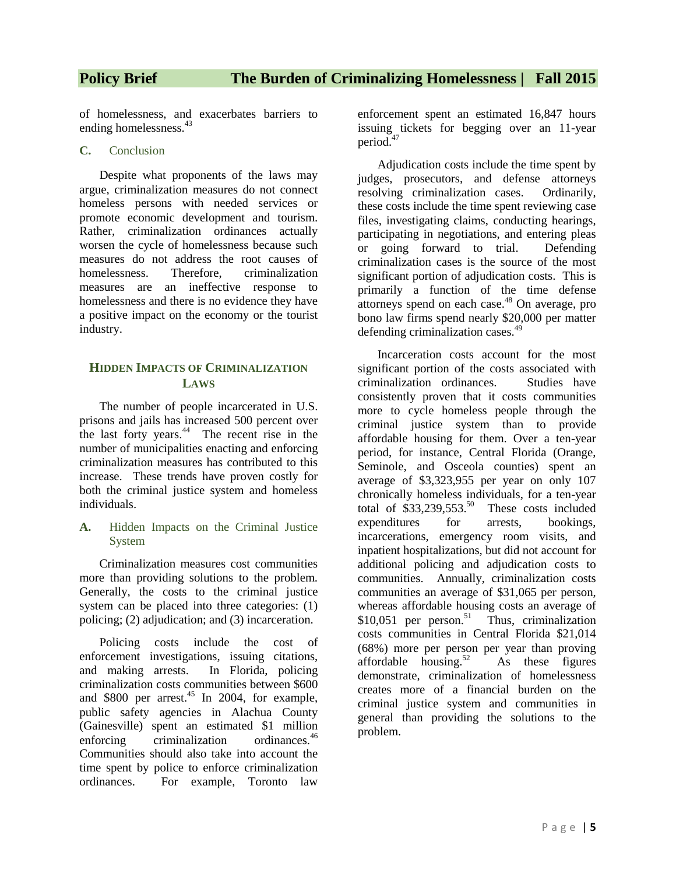of homelessness, and exacerbates barriers to ending homelessness.<sup>43</sup>

### **C.** Conclusion

Despite what proponents of the laws may argue, criminalization measures do not connect homeless persons with needed services or promote economic development and tourism. Rather, criminalization ordinances actually worsen the cycle of homelessness because such measures do not address the root causes of homelessness. Therefore, criminalization measures are an ineffective response to homelessness and there is no evidence they have a positive impact on the economy or the tourist industry.

### **HIDDEN IMPACTS OF CRIMINALIZATION LAWS**

The number of people incarcerated in U.S. prisons and jails has increased 500 percent over the last forty years.<sup>44</sup> The recent rise in the number of municipalities enacting and enforcing criminalization measures has contributed to this increase. These trends have proven costly for both the criminal justice system and homeless individuals.

**A.** Hidden Impacts on the Criminal Justice System

Criminalization measures cost communities more than providing solutions to the problem. Generally, the costs to the criminal justice system can be placed into three categories: (1) policing; (2) adjudication; and (3) incarceration.

Policing costs include the cost of enforcement investigations, issuing citations, and making arrests. In Florida, policing criminalization costs communities between \$600 and \$800 per arrest.<sup>45</sup> In 2004, for example, public safety agencies in Alachua County (Gainesville) spent an estimated \$1 million enforcing criminalization ordinances.<sup>46</sup> Communities should also take into account the time spent by police to enforce criminalization ordinances. For example, Toronto law

enforcement spent an estimated 16,847 hours issuing tickets for begging over an 11-year period.<sup>47</sup>

Adjudication costs include the time spent by judges, prosecutors, and defense attorneys resolving criminalization cases. Ordinarily, these costs include the time spent reviewing case files, investigating claims, conducting hearings, participating in negotiations, and entering pleas or going forward to trial. Defending criminalization cases is the source of the most significant portion of adjudication costs. This is primarily a function of the time defense attorneys spend on each case.<sup>48</sup> On average, pro bono law firms spend nearly \$20,000 per matter defending criminalization cases.<sup>49</sup>

Incarceration costs account for the most significant portion of the costs associated with criminalization ordinances. Studies have consistently proven that it costs communities more to cycle homeless people through the criminal justice system than to provide affordable housing for them. Over a ten-year period, for instance, Central Florida (Orange, Seminole, and Osceola counties) spent an average of \$3,323,955 per year on only 107 chronically homeless individuals, for a ten-year total of  $$33,239,553$ <sup>50</sup> These costs included expenditures for arrests, bookings, incarcerations, emergency room visits, and inpatient hospitalizations, but did not account for additional policing and adjudication costs to communities. Annually, criminalization costs communities an average of \$31,065 per person, whereas affordable housing costs an average of  $$10,051$  per person.<sup>51</sup> Thus, criminalization costs communities in Central Florida \$21,014 (68%) more per person per year than proving affordable housing. $52$  As these figures demonstrate, criminalization of homelessness creates more of a financial burden on the criminal justice system and communities in general than providing the solutions to the problem.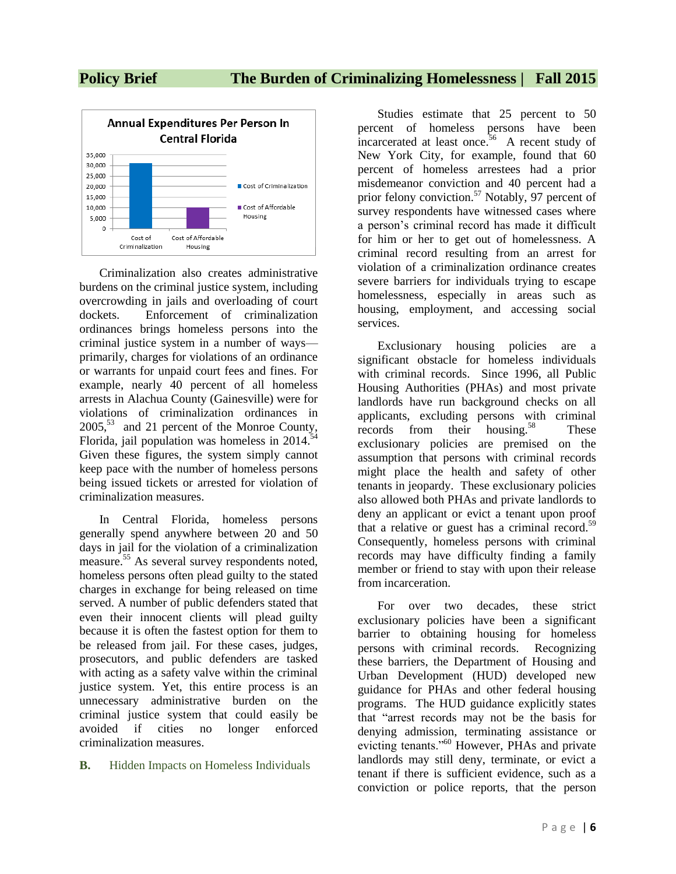# **Policy Brief The Burden of Criminalizing Homelessness | Fall 2015**



Criminalization also creates administrative burdens on the criminal justice system, including overcrowding in jails and overloading of court dockets. Enforcement of criminalization ordinances brings homeless persons into the criminal justice system in a number of ways primarily, charges for violations of an ordinance or warrants for unpaid court fees and fines. For example, nearly 40 percent of all homeless arrests in Alachua County (Gainesville) were for violations of criminalization ordinances in  $2005$ <sup>53</sup> and 21 percent of the Monroe County, Florida, jail population was homeless in  $2014$ <sup>54</sup> Given these figures, the system simply cannot keep pace with the number of homeless persons being issued tickets or arrested for violation of criminalization measures.

In Central Florida, homeless persons generally spend anywhere between 20 and 50 days in jail for the violation of a criminalization measure.<sup>55</sup> As several survey respondents noted, homeless persons often plead guilty to the stated charges in exchange for being released on time served. A number of public defenders stated that even their innocent clients will plead guilty because it is often the fastest option for them to be released from jail. For these cases, judges, prosecutors, and public defenders are tasked with acting as a safety valve within the criminal justice system. Yet, this entire process is an unnecessary administrative burden on the criminal justice system that could easily be avoided if cities no longer enforced criminalization measures.

### **B.** Hidden Impacts on Homeless Individuals

Studies estimate that 25 percent to 50 percent of homeless persons have been incarcerated at least once.<sup>56</sup> A recent study of New York City, for example, found that 60 percent of homeless arrestees had a prior misdemeanor conviction and 40 percent had a prior felony conviction.<sup>57</sup> Notably, 97 percent of survey respondents have witnessed cases where a person's criminal record has made it difficult for him or her to get out of homelessness. A criminal record resulting from an arrest for violation of a criminalization ordinance creates severe barriers for individuals trying to escape homelessness, especially in areas such as housing, employment, and accessing social services.

Exclusionary housing policies are a significant obstacle for homeless individuals with criminal records. Since 1996, all Public Housing Authorities (PHAs) and most private landlords have run background checks on all applicants, excluding persons with criminal records from their housing.<sup>58</sup> These exclusionary policies are premised on the assumption that persons with criminal records might place the health and safety of other tenants in jeopardy. These exclusionary policies also allowed both PHAs and private landlords to deny an applicant or evict a tenant upon proof that a relative or guest has a criminal record.<sup>59</sup> Consequently, homeless persons with criminal records may have difficulty finding a family member or friend to stay with upon their release from incarceration.

For over two decades, these strict exclusionary policies have been a significant barrier to obtaining housing for homeless persons with criminal records. Recognizing these barriers, the Department of Housing and Urban Development (HUD) developed new guidance for PHAs and other federal housing programs. The HUD guidance explicitly states that "arrest records may not be the basis for denying admission, terminating assistance or evicting tenants."<sup>60</sup> However, PHAs and private landlords may still deny, terminate, or evict a tenant if there is sufficient evidence, such as a conviction or police reports, that the person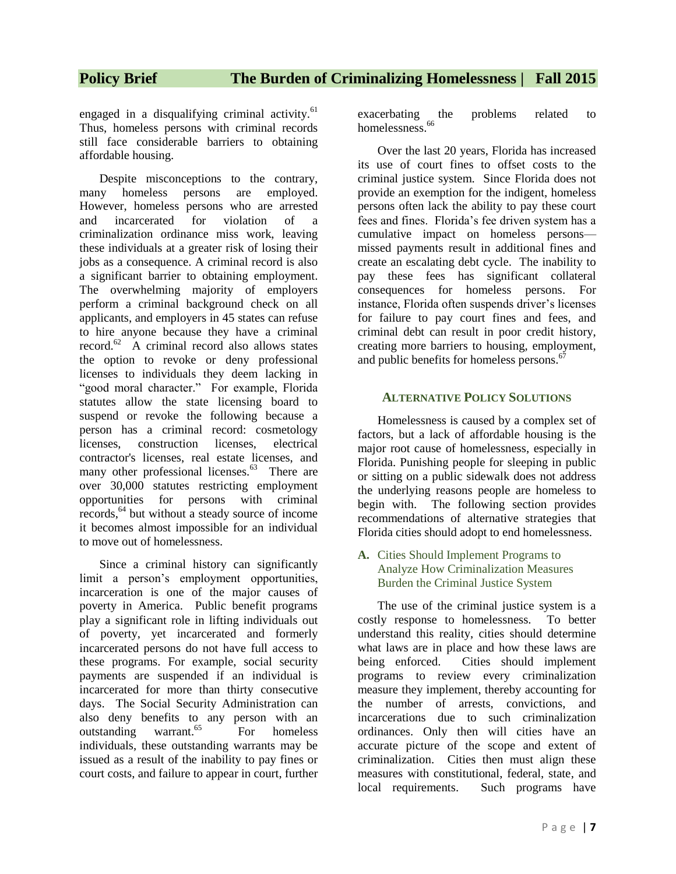# **Policy Brief The Burden of Criminalizing Homelessness | Fall 2015**

engaged in a disqualifying criminal activity. $61$ Thus, homeless persons with criminal records still face considerable barriers to obtaining affordable housing.

Despite misconceptions to the contrary, many homeless persons are employed. However, homeless persons who are arrested and incarcerated for violation of a criminalization ordinance miss work, leaving these individuals at a greater risk of losing their jobs as a consequence. A criminal record is also a significant barrier to obtaining employment. The overwhelming majority of employers perform a criminal background check on all applicants, and employers in 45 states can refuse to hire anyone because they have a criminal record. $62$  A criminal record also allows states the option to revoke or deny professional licenses to individuals they deem lacking in "good moral character." For example, Florida statutes allow the state licensing board to suspend or revoke the following because a person has a criminal record: cosmetology licenses, construction licenses, electrical contractor's licenses, real estate licenses, and many other professional licenses.<sup>63</sup> There are over 30,000 statutes restricting employment opportunities for persons with criminal records,<sup>64</sup> but without a steady source of income it becomes almost impossible for an individual to move out of homelessness.

Since a criminal history can significantly limit a person's employment opportunities, incarceration is one of the major causes of poverty in America. Public benefit programs play a significant role in lifting individuals out of poverty, yet incarcerated and formerly incarcerated persons do not have full access to these programs. For example, social security payments are suspended if an individual is incarcerated for more than thirty consecutive days. The Social Security Administration can also deny benefits to any person with an outstanding warrant.<sup>65</sup> For homeless individuals, these outstanding warrants may be issued as a result of the inability to pay fines or court costs, and failure to appear in court, further

exacerbating the problems related to homelessness.<sup>66</sup>

Over the last 20 years, Florida has increased its use of court fines to offset costs to the criminal justice system. Since Florida does not provide an exemption for the indigent, homeless persons often lack the ability to pay these court fees and fines. Florida's fee driven system has a cumulative impact on homeless persons missed payments result in additional fines and create an escalating debt cycle. The inability to pay these fees has significant collateral consequences for homeless persons. For instance, Florida often suspends driver's licenses for failure to pay court fines and fees, and criminal debt can result in poor credit history, creating more barriers to housing, employment, and public benefits for homeless persons.<sup>67</sup>

### **ALTERNATIVE POLICY SOLUTIONS**

Homelessness is caused by a complex set of factors, but a lack of affordable housing is the major root cause of homelessness, especially in Florida. Punishing people for sleeping in public or sitting on a public sidewalk does not address the underlying reasons people are homeless to begin with. The following section provides recommendations of alternative strategies that Florida cities should adopt to end homelessness.

**A.** Cities Should Implement Programs to Analyze How Criminalization Measures Burden the Criminal Justice System

The use of the criminal justice system is a costly response to homelessness. To better understand this reality, cities should determine what laws are in place and how these laws are being enforced. Cities should implement programs to review every criminalization measure they implement, thereby accounting for the number of arrests, convictions, and incarcerations due to such criminalization ordinances. Only then will cities have an accurate picture of the scope and extent of criminalization. Cities then must align these measures with constitutional, federal, state, and local requirements. Such programs have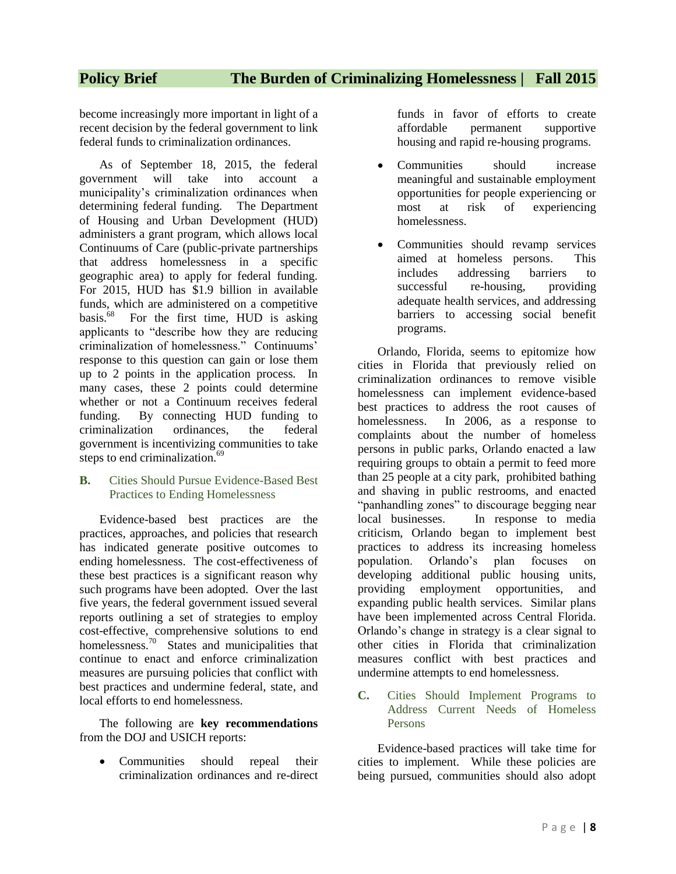become increasingly more important in light of a recent decision by the federal government to link federal funds to criminalization ordinances.

As of September 18, 2015, the federal government will take into account a municipality's criminalization ordinances when determining federal funding. The Department of Housing and Urban Development (HUD) administers a grant program, which allows local Continuums of Care (public-private partnerships that address homelessness in a specific geographic area) to apply for federal funding. For 2015, HUD has \$1.9 billion in available funds, which are administered on a competitive basis.<sup>68</sup> For the first time, HUD is asking applicants to "describe how they are reducing criminalization of homelessness." Continuums' response to this question can gain or lose them up to 2 points in the application process. In many cases, these 2 points could determine whether or not a Continuum receives federal funding. By connecting HUD funding to criminalization ordinances, the federal government is incentivizing communities to take steps to end criminalization.<sup>69</sup>

**B.** Cities Should Pursue Evidence-Based Best Practices to Ending Homelessness

Evidence-based best practices are the practices, approaches, and policies that research has indicated generate positive outcomes to ending homelessness. The cost-effectiveness of these best practices is a significant reason why such programs have been adopted. Over the last five years, the federal government issued several reports outlining a set of strategies to employ cost-effective, comprehensive solutions to end homelessness.<sup>70</sup> States and municipalities that continue to enact and enforce criminalization measures are pursuing policies that conflict with best practices and undermine federal, state, and local efforts to end homelessness.

The following are **key recommendations** from the DOJ and USICH reports:

• Communities should repeal their criminalization ordinances and re-direct funds in favor of efforts to create affordable permanent supportive housing and rapid re-housing programs.

- Communities should increase meaningful and sustainable employment opportunities for people experiencing or most at risk of experiencing homelessness.
- Communities should revamp services aimed at homeless persons. This includes addressing barriers to successful re-housing, providing adequate health services, and addressing barriers to accessing social benefit programs.

Orlando, Florida, seems to epitomize how cities in Florida that previously relied on criminalization ordinances to remove visible homelessness can implement evidence-based best practices to address the root causes of homelessness. In 2006, as a response to complaints about the number of homeless persons in public parks, Orlando enacted a law requiring groups to obtain a permit to feed more than 25 people at a city park, prohibited bathing and shaving in public restrooms, and enacted "panhandling zones" to discourage begging near local businesses. In response to media criticism, Orlando began to implement best practices to address its increasing homeless population. Orlando's plan focuses on developing additional public housing units, providing employment opportunities, and expanding public health services. Similar plans have been implemented across Central Florida. Orlando's change in strategy is a clear signal to other cities in Florida that criminalization measures conflict with best practices and undermine attempts to end homelessness.

**C.** Cities Should Implement Programs to Address Current Needs of Homeless Persons

Evidence-based practices will take time for cities to implement. While these policies are being pursued, communities should also adopt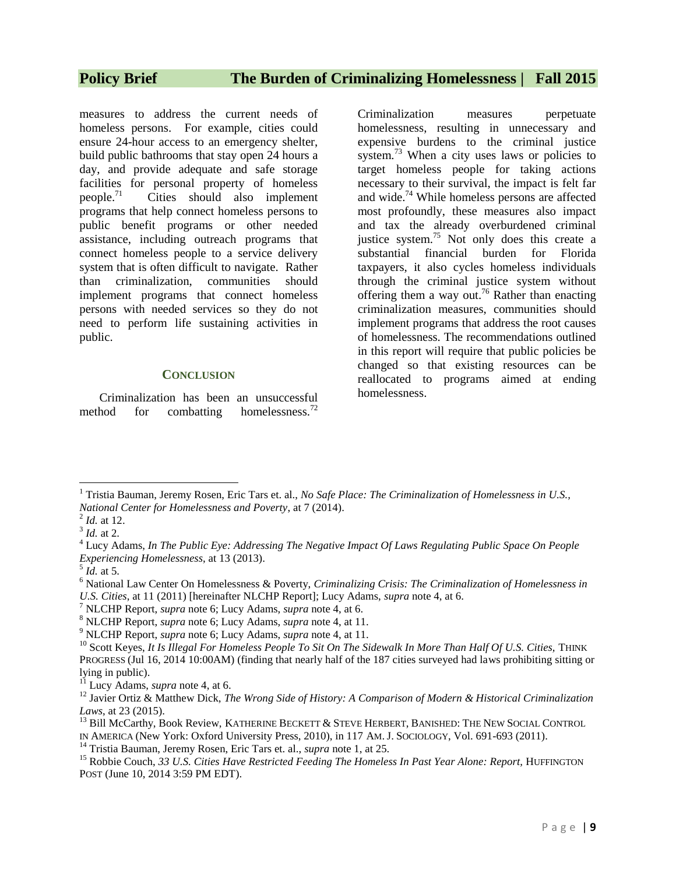measures to address the current needs of homeless persons. For example, cities could ensure 24-hour access to an emergency shelter, build public bathrooms that stay open 24 hours a day, and provide adequate and safe storage facilities for personal property of homeless people.<sup>71</sup> Cities should also implement programs that help connect homeless persons to public benefit programs or other needed assistance, including outreach programs that connect homeless people to a service delivery system that is often difficult to navigate. Rather than criminalization, communities should implement programs that connect homeless persons with needed services so they do not need to perform life sustaining activities in public.

### **CONCLUSION**

Criminalization has been an unsuccessful method for combatting homelessness.<sup>72</sup>

Criminalization measures perpetuate homelessness, resulting in unnecessary and expensive burdens to the criminal justice system.<sup>73</sup> When a city uses laws or policies to target homeless people for taking actions necessary to their survival, the impact is felt far and wide.<sup>74</sup> While homeless persons are affected most profoundly, these measures also impact and tax the already overburdened criminal justice system.<sup>75</sup> Not only does this create a substantial financial burden for Florida taxpayers, it also cycles homeless individuals through the criminal justice system without offering them a way out.<sup>76</sup> Rather than enacting criminalization measures, communities should implement programs that address the root causes of homelessness. The recommendations outlined in this report will require that public policies be changed so that existing resources can be reallocated to programs aimed at ending homelessness.

 $\overline{a}$ <sup>1</sup> Tristia Bauman, Jeremy Rosen, Eric Tars et. al., *No Safe Place: The Criminalization of Homelessness in U.S., National Center for Homelessness and Poverty*, at 7 (2014).

<sup>2</sup> *Id.* at 12.

<sup>3</sup> *Id.* at 2.

<sup>4</sup> Lucy Adams, *In The Public Eye: Addressing The Negative Impact Of Laws Regulating Public Space On People Experiencing Homelessness*, at 13 (2013).

 $<sup>5</sup>$  *Id.* at 5.</sup>

<sup>6</sup> National Law Center On Homelessness & Poverty, *Criminalizing Crisis: The Criminalization of Homelessness in U.S. Cities*, at 11 (2011) [hereinafter NLCHP Report]; Lucy Adams, *supra* note 4, at 6.

<sup>7</sup> NLCHP Report, *supra* note 6; Lucy Adams, *supra* note 4, at 6.

<sup>8</sup> NLCHP Report, *supra* note 6; Lucy Adams, *supra* note 4, at 11.

<sup>9</sup> NLCHP Report, *supra* note 6; Lucy Adams, *supra* note 4, at 11.

<sup>&</sup>lt;sup>10</sup> Scott Keyes, *It Is Illegal For Homeless People To Sit On The Sidewalk In More Than Half Of U.S. Cities, THINK* PROGRESS (Jul 16, 2014 10:00AM) (finding that nearly half of the 187 cities surveyed had laws prohibiting sitting or lying in public).

<sup>&</sup>lt;sup>11</sup> Lucy Adams, *supra* note 4, at 6.

<sup>12</sup> Javier Ortiz & Matthew Dick, *The Wrong Side of History: A Comparison of Modern & Historical Criminalization Laws*, at 23 (2015).

<sup>&</sup>lt;sup>13</sup> Bill McCarthy, Book Review, KATHERINE BECKETT & STEVE HERBERT, BANISHED: THE NEW SOCIAL CONTROL

IN AMERICA (New York: Oxford University Press, 2010), in 117 AM. J. SOCIOLOGY, Vol. 691-693 (2011).

<sup>14</sup> Tristia Bauman, Jeremy Rosen, Eric Tars et. al., *supra* note 1, at 25.

<sup>&</sup>lt;sup>15</sup> Robbie Couch, 33 U.S. Cities Have Restricted Feeding The Homeless In Past Year Alone: Report, HUFFINGTON POST (June 10, 2014 3:59 PM EDT).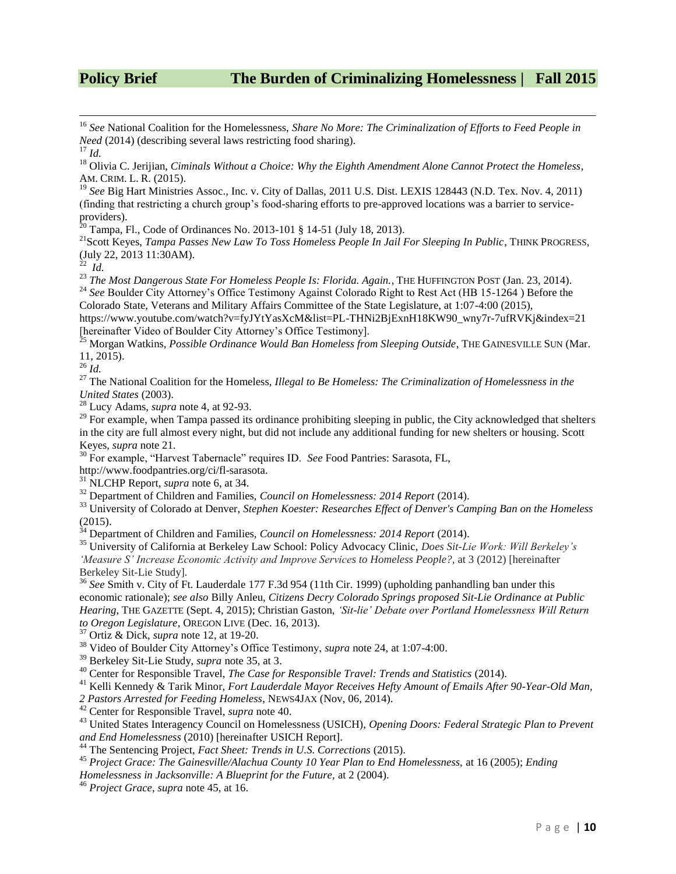<sup>16</sup> *See* National Coalition for the Homelessness, *Share No More: The Criminalization of Efforts to Feed People in Need* (2014) (describing several laws restricting food sharing).

<sup>17</sup> *Id.*

 $\overline{\phantom{a}}$ 

<sup>18</sup> Olivia C. Jerijian, *Ciminals Without a Choice: Why the Eighth Amendment Alone Cannot Protect the Homeless*, AM. CRIM. L. R. (2015).

<sup>19</sup> See Big Hart Ministries Assoc., Inc. v. City of Dallas, 2011 U.S. Dist. LEXIS 128443 (N.D. Tex. Nov. 4, 2011) (finding that restricting a church group's food-sharing efforts to pre-approved locations was a barrier to serviceproviders).

 $20$  Tampa, Fl., Code of Ordinances No. 2013-101 § 14-51 (July 18, 2013).

<sup>21</sup>Scott Keyes, *Tampa Passes New Law To Toss Homeless People In Jail For Sleeping In Public*, THINK PROGRESS, (July 22, 2013 11:30AM). 22 *Id.*

<sup>23</sup> *The Most Dangerous State For Homeless People Is: Florida. Again.*, THE HUFFINGTON POST (Jan. 23, 2014). <sup>24</sup> See Boulder City Attorney's Office Testimony Against Colorado Right to Rest Act (HB 15-1264) Before the

Colorado State, Veterans and Military Affairs Committee of the State Legislature, at 1:07-4:00 (2015), https://www.youtube.com/watch?v=fyJYtYasXcM&list=PL-THNi2BjExnH18KW90\_wny7r-7ufRVKj&index=21 [hereinafter Video of Boulder City Attorney's Office Testimony].

<sup>25</sup> Morgan Watkins, *Possible Ordinance Would Ban Homeless from Sleeping Outside*, THE GAINESVILLE SUN (Mar. 11, 2015).

<sup>26</sup> *Id.*

<sup>27</sup> The National Coalition for the Homeless, *Illegal to Be Homeless: The Criminalization of Homelessness in the United States* (2003).

<sup>28</sup> Lucy Adams, *supra* note 4, at 92-93.

<sup>29</sup> For example, when Tampa passed its ordinance prohibiting sleeping in public, the City acknowledged that shelters in the city are full almost every night, but did not include any additional funding for new shelters or housing. Scott Keyes, *supra* note 21*.*

<sup>30</sup> For example, "Harvest Tabernacle" requires ID. *See* Food Pantries: Sarasota, FL,

http://www.foodpantries.org/ci/fl-sarasota.

<sup>31</sup> NLCHP Report, *supra* note 6, at 34.

<sup>32</sup> Department of Children and Families, *Council on Homelessness: 2014 Report* (2014).

<sup>33</sup> University of Colorado at Denver, *Stephen Koester: Researches Effect of Denver's Camping Ban on the Homeless* (2015).

<sup>34</sup> Department of Children and Families, *Council on Homelessness: 2014 Report* (2014).

<sup>35</sup> University of California at Berkeley Law School: Policy Advocacy Clinic, *Does Sit-Lie Work: Will Berkeley's 'Measure S' Increase Economic Activity and Improve Services to Homeless People?,* at 3 (2012) [hereinafter Berkeley Sit-Lie Study].

<sup>36</sup> *See* Smith v. City of Ft. Lauderdale 177 F.3d 954 (11th Cir. 1999) (upholding panhandling ban under this economic rationale); *see also* Billy Anleu, *Citizens Decry Colorado Springs proposed Sit-Lie Ordinance at Public Hearing*, THE GAZETTE (Sept. 4, 2015); Christian Gaston, *'Sit-lie' Debate over Portland Homelessness Will Return to Oregon Legislature*, OREGON LIVE (Dec. 16, 2013).

<sup>37</sup> Ortiz & Dick, *supra* note 12, at 19-20.

<sup>38</sup> Video of Boulder City Attorney's Office Testimony, *supra* note 24, at 1:07-4:00.

<sup>39</sup> Berkeley Sit-Lie Study, *supra* note 35, at 3.

<sup>40</sup> Center for Responsible Travel, *The Case for Responsible Travel: Trends and Statistics* (2014).

<sup>41</sup> Kelli Kennedy & Tarik Minor, *Fort Lauderdale Mayor Receives Hefty Amount of Emails After 90-Year-Old Man,* 

*2 Pastors Arrested for Feeding Homeless*, NEWS4JAX (Nov, 06, 2014).

<sup>42</sup> Center for Responsible Travel, *supra* note 40.

<sup>43</sup> United States Interagency Council on Homelessness (USICH), *Opening Doors: Federal Strategic Plan to Prevent and End Homelessness* (2010) [hereinafter USICH Report].

<sup>44</sup> The Sentencing Project, *Fact Sheet: Trends in U.S. Corrections* (2015).

<sup>45</sup> *Project Grace: The Gainesville/Alachua County 10 Year Plan to End Homelessness,* at 16 (2005); *Ending Homelessness in Jacksonville: A Blueprint for the Future,* at 2 (2004).

<sup>46</sup> *Project Grace*, *supra* note 45, at 16.